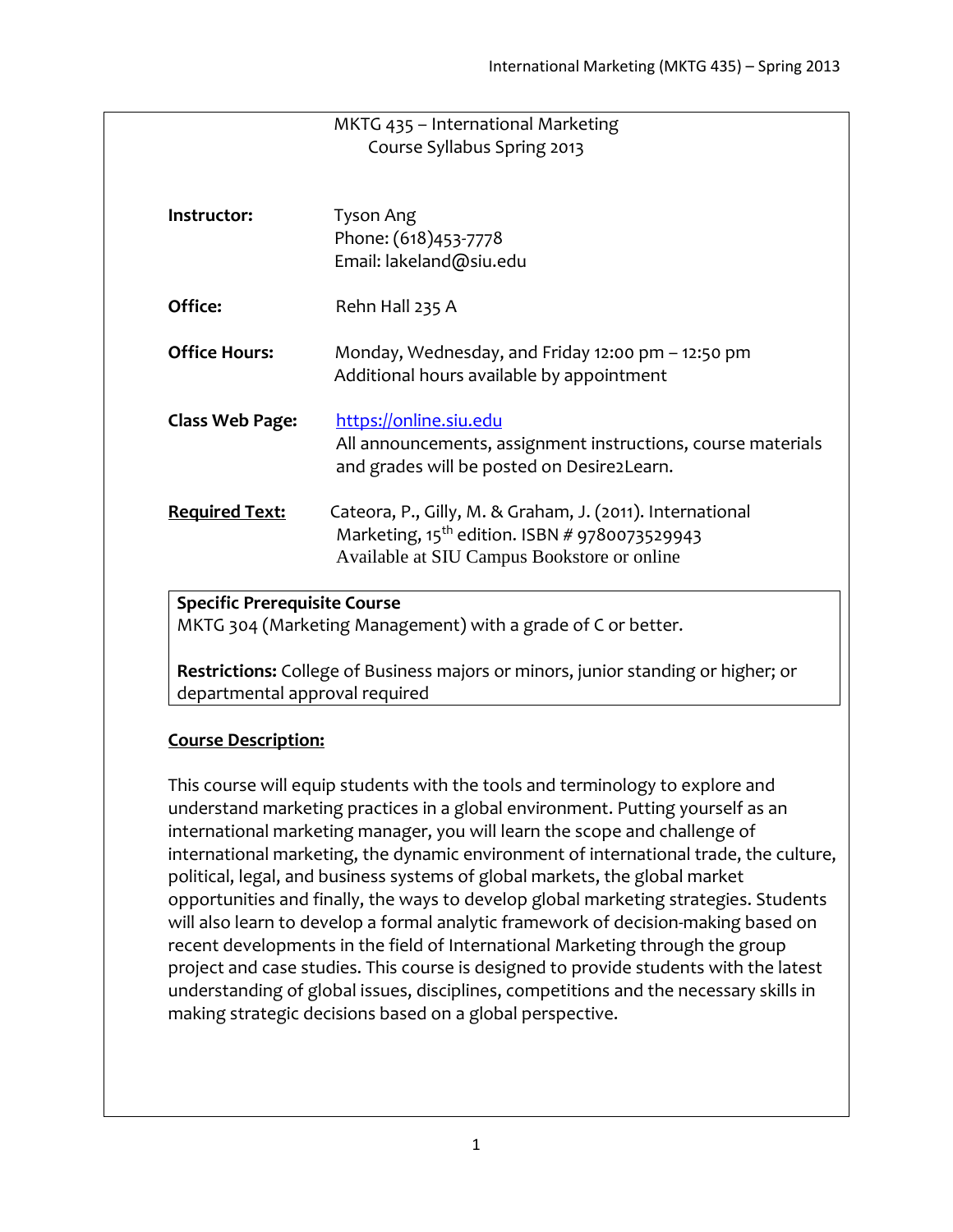|                                     | MKTG 435 - International Marketing                                                |
|-------------------------------------|-----------------------------------------------------------------------------------|
|                                     | Course Syllabus Spring 2013                                                       |
|                                     |                                                                                   |
| Instructor:                         | Tyson Ang                                                                         |
|                                     | Phone: (618)453-7778                                                              |
|                                     | Email: lakeland@siu.edu                                                           |
| Office:                             | Rehn Hall 235 A                                                                   |
| <b>Office Hours:</b>                | Monday, Wednesday, and Friday 12:00 pm - 12:50 pm                                 |
|                                     | Additional hours available by appointment                                         |
|                                     | https://online.siu.edu                                                            |
| <b>Class Web Page:</b>              | All announcements, assignment instructions, course materials                      |
|                                     | and grades will be posted on Desire2Learn.                                        |
|                                     |                                                                                   |
| <b>Required Text:</b>               | Cateora, P., Gilly, M. & Graham, J. (2011). International                         |
|                                     | Marketing, 15 <sup>th</sup> edition. ISBN # 9780073529943                         |
|                                     | Available at SIU Campus Bookstore or online                                       |
| <b>Specific Prerequisite Course</b> |                                                                                   |
|                                     | MKTG 304 (Marketing Management) with a grade of C or better.                      |
|                                     |                                                                                   |
|                                     | Restrictions: College of Business majors or minors, junior standing or higher; or |

departmental approval required

#### **Course Description:**

This course will equip students with the tools and terminology to explore and understand marketing practices in a global environment. Putting yourself as an international marketing manager, you will learn the scope and challenge of international marketing, the dynamic environment of international trade, the culture, political, legal, and business systems of global markets, the global market opportunities and finally, the ways to develop global marketing strategies. Students will also learn to develop a formal analytic framework of decision-making based on recent developments in the field of International Marketing through the group project and case studies. This course is designed to provide students with the latest understanding of global issues, disciplines, competitions and the necessary skills in making strategic decisions based on a global perspective.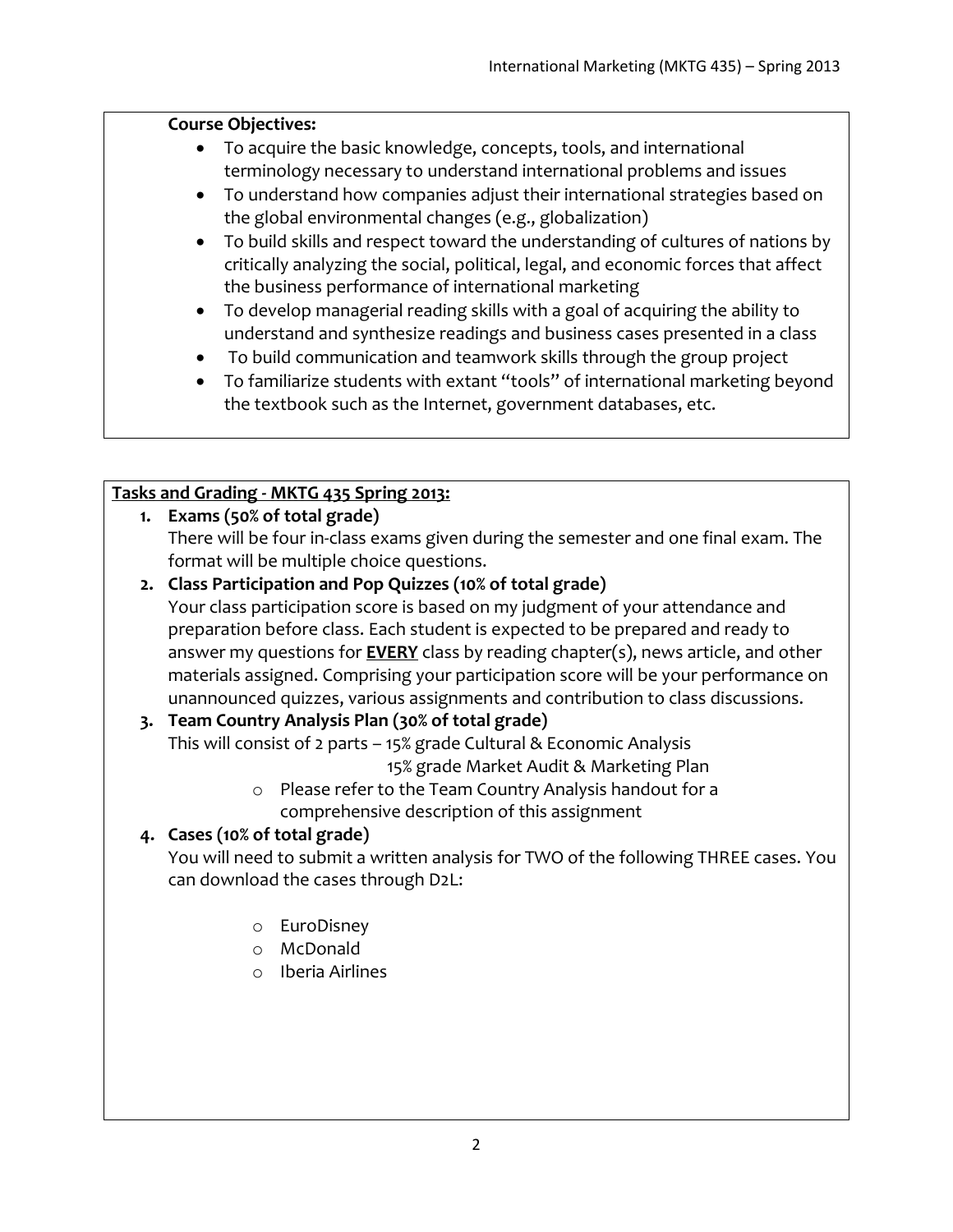#### **Course Objectives:**

- To acquire the basic knowledge, concepts, tools, and international terminology necessary to understand international problems and issues
- To understand how companies adjust their international strategies based on the global environmental changes (e.g., globalization)
- To build skills and respect toward the understanding of cultures of nations by critically analyzing the social, political, legal, and economic forces that affect the business performance of international marketing
- To develop managerial reading skills with a goal of acquiring the ability to understand and synthesize readings and business cases presented in a class
- To build communication and teamwork skills through the group project
- To familiarize students with extant "tools" of international marketing beyond the textbook such as the Internet, government databases, etc.

## **Tasks and Grading - MKTG 435 Spring 2013:**

## **1. Exams (50% of total grade)**

There will be four in-class exams given during the semester and one final exam. The format will be multiple choice questions.

**2. Class Participation and Pop Quizzes (10% of total grade)**

Your class participation score is based on my judgment of your attendance and preparation before class. Each student is expected to be prepared and ready to answer my questions for **EVERY** class by reading chapter(s), news article, and other materials assigned. Comprising your participation score will be your performance on unannounced quizzes, various assignments and contribution to class discussions.

## **3. Team Country Analysis Plan (30% of total grade)**

This will consist of 2 parts – 15% grade Cultural & Economic Analysis

15% grade Market Audit & Marketing Plan

o Please refer to the Team Country Analysis handout for a comprehensive description of this assignment

## **4. Cases (10% of total grade)**

You will need to submit a written analysis for TWO of the following THREE cases. You can download the cases through D2L:

- o EuroDisney
- o McDonald
- o Iberia Airlines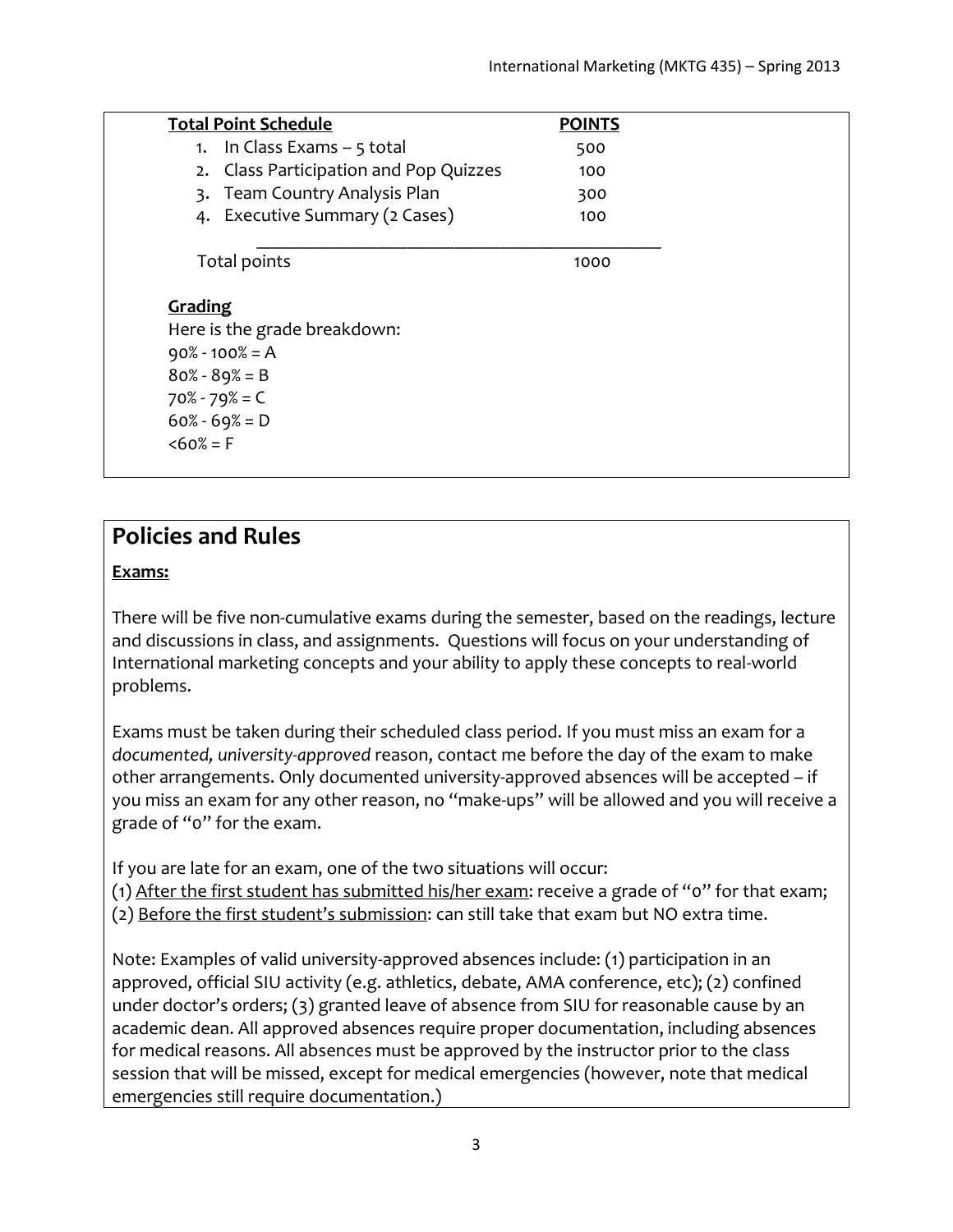| <b>Total Point Schedule</b>            | <b>POINTS</b> |
|----------------------------------------|---------------|
| 1. In Class Exams - 5 total            | 500           |
| 2. Class Participation and Pop Quizzes | 100           |
| 3. Team Country Analysis Plan          | 300           |
| 4. Executive Summary (2 Cases)         | 100           |
| Total points                           | 1000          |
| Grading                                |               |
| Here is the grade breakdown:           |               |
| $90\% - 100\% = A$                     |               |
| $80\% - 89\% = B$                      |               |
| $70\% - 79\% = C$                      |               |
| $60\% - 69\% = D$                      |               |
| $&50\% = F$                            |               |

# **Policies and Rules**

#### **Exams:**

There will be five non-cumulative exams during the semester, based on the readings, lecture and discussions in class, and assignments. Questions will focus on your understanding of International marketing concepts and your ability to apply these concepts to real-world problems.

Exams must be taken during their scheduled class period. If you must miss an exam for a *documented, university-approved* reason, contact me before the day of the exam to make other arrangements. Only documented university-approved absences will be accepted – if you miss an exam for any other reason, no "make-ups" will be allowed and you will receive a grade of "0" for the exam.

If you are late for an exam, one of the two situations will occur:

(1) After the first student has submitted his/her exam: receive a grade of "0" for that exam;

(2) Before the first student's submission: can still take that exam but NO extra time.

Note: Examples of valid university-approved absences include: (1) participation in an approved, official SIU activity (e.g. athletics, debate, AMA conference, etc); (2) confined under doctor's orders; (3) granted leave of absence from SIU for reasonable cause by an academic dean. All approved absences require proper documentation, including absences for medical reasons. All absences must be approved by the instructor prior to the class session that will be missed, except for medical emergencies (however, note that medical emergencies still require documentation.)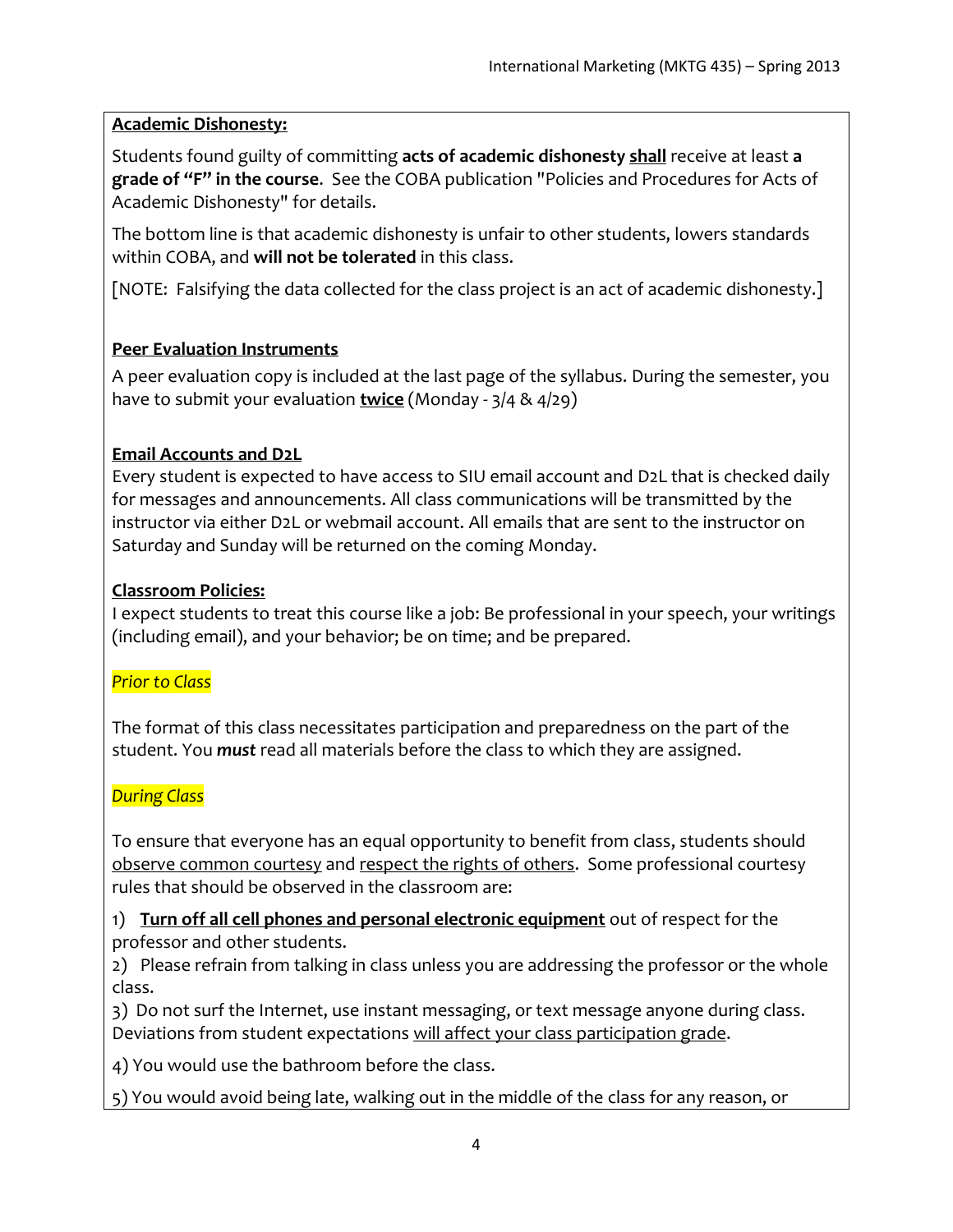#### **Academic Dishonesty:**

Students found guilty of committing **acts of academic dishonesty shall** receive at least **a grade of "F" in the course**. See the COBA publication "Policies and Procedures for Acts of Academic Dishonesty" for details.

The bottom line is that academic dishonesty is unfair to other students, lowers standards within COBA, and **will not be tolerated** in this class.

[NOTE: Falsifying the data collected for the class project is an act of academic dishonesty.]

## **Peer Evaluation Instruments**

A peer evaluation copy is included at the last page of the syllabus. During the semester, you have to submit your evaluation **twice** (Monday - 3/4 & 4/29)

### **Email Accounts and D2L**

Every student is expected to have access to SIU email account and D2L that is checked daily for messages and announcements. All class communications will be transmitted by the instructor via either D2L or webmail account. All emails that are sent to the instructor on Saturday and Sunday will be returned on the coming Monday.

#### **Classroom Policies:**

I expect students to treat this course like a job: Be professional in your speech, your writings (including email), and your behavior; be on time; and be prepared.

#### *Prior to Class*

The format of this class necessitates participation and preparedness on the part of the student. You *must* read all materials before the class to which they are assigned.

## *During Class*

To ensure that everyone has an equal opportunity to benefit from class, students should observe common courtesy and respect the rights of others. Some professional courtesy rules that should be observed in the classroom are:

1) **Turn off all cell phones and personal electronic equipment** out of respect for the professor and other students.

2) Please refrain from talking in class unless you are addressing the professor or the whole class.

3) Do not surf the Internet, use instant messaging, or text message anyone during class. Deviations from student expectations will affect your class participation grade.

4) You would use the bathroom before the class.

5) You would avoid being late, walking out in the middle of the class for any reason, or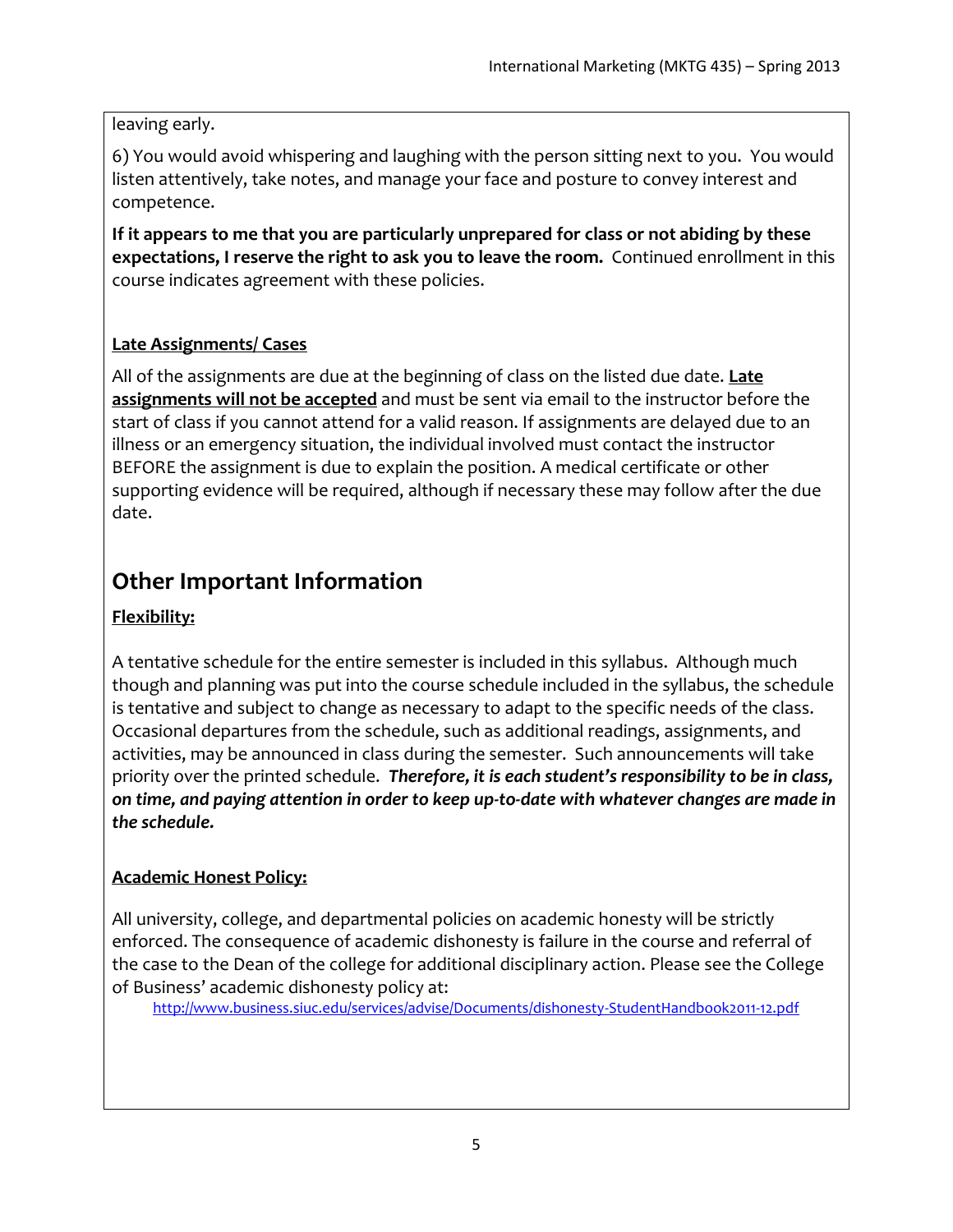#### leaving early.

6) You would avoid whispering and laughing with the person sitting next to you. You would listen attentively, take notes, and manage your face and posture to convey interest and competence.

**If it appears to me that you are particularly unprepared for class or not abiding by these expectations, I reserve the right to ask you to leave the room.** Continued enrollment in this course indicates agreement with these policies.

## **Late Assignments/ Cases**

All of the assignments are due at the beginning of class on the listed due date. **Late assignments will not be accepted** and must be sent via email to the instructor before the start of class if you cannot attend for a valid reason. If assignments are delayed due to an illness or an emergency situation, the individual involved must contact the instructor BEFORE the assignment is due to explain the position. A medical certificate or other supporting evidence will be required, although if necessary these may follow after the due date.

# **Other Important Information**

## **Flexibility:**

A tentative schedule for the entire semester is included in this syllabus. Although much though and planning was put into the course schedule included in the syllabus, the schedule is tentative and subject to change as necessary to adapt to the specific needs of the class. Occasional departures from the schedule, such as additional readings, assignments, and activities, may be announced in class during the semester. Such announcements will take priority over the printed schedule. *Therefore, it is each student's responsibility to be in class, on time, and paying attention in order to keep up-to-date with whatever changes are made in the schedule.* 

## **Academic Honest Policy:**

All university, college, and departmental policies on academic honesty will be strictly enforced. The consequence of academic dishonesty is failure in the course and referral of the case to the Dean of the college for additional disciplinary action. Please see the College of Business' academic dishonesty policy at:

<http://www.business.siuc.edu/services/advise/Documents/dishonesty-StudentHandbook2011-12.pdf>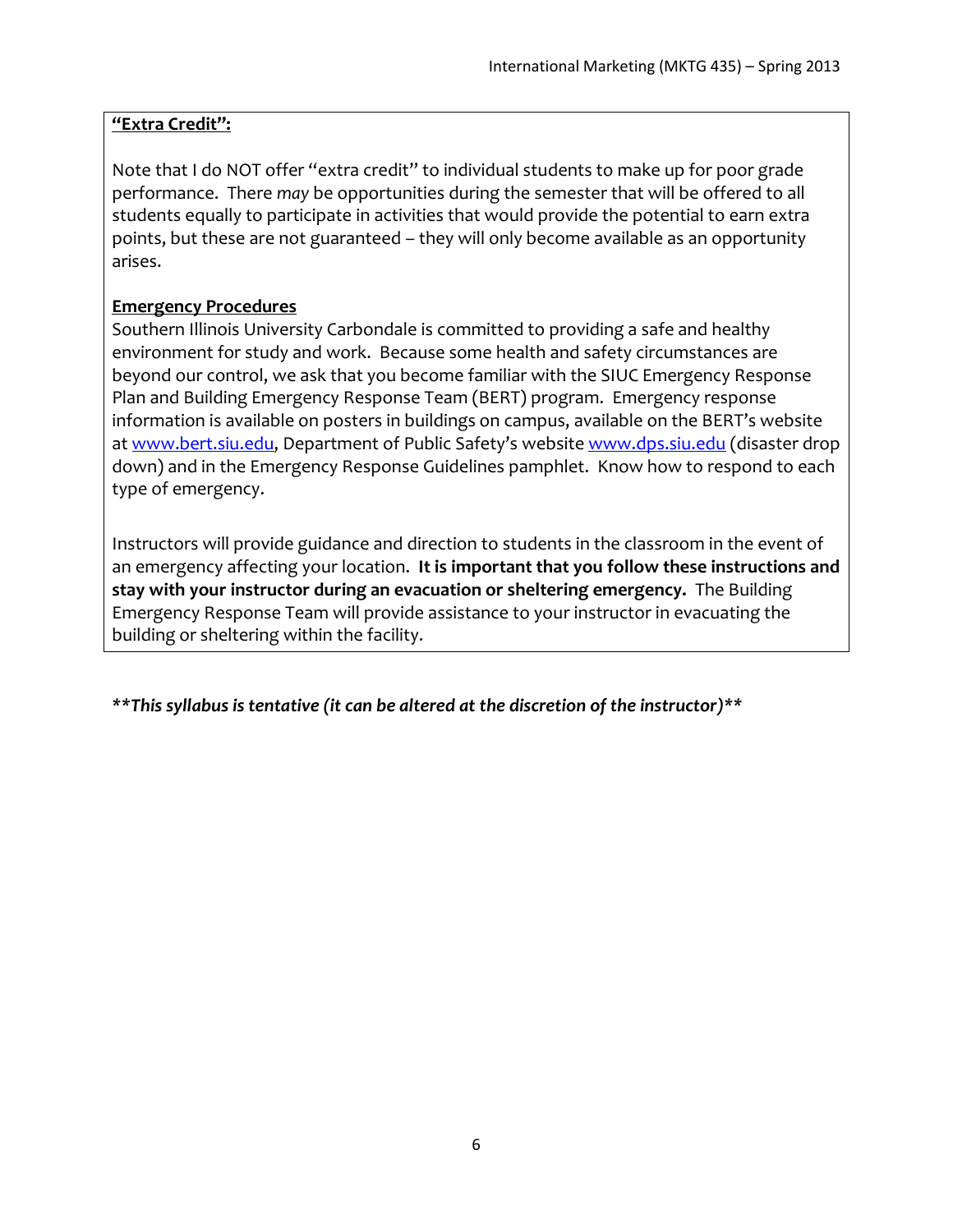## **"Extra Credit":**

Note that I do NOT offer "extra credit" to individual students to make up for poor grade performance. There *may* be opportunities during the semester that will be offered to all students equally to participate in activities that would provide the potential to earn extra points, but these are not guaranteed – they will only become available as an opportunity arises.

### **Emergency Procedures**

Southern Illinois University Carbondale is committed to providing a safe and healthy environment for study and work. Because some health and safety circumstances are beyond our control, we ask that you become familiar with the SIUC Emergency Response Plan and Building Emergency Response Team (BERT) program. Emergency response information is available on posters in buildings on campus, available on the BERT's website at [www.bert.siu.edu](http://www.bert.siu.edu/), Department of Public Safety's website [www.dps.siu.edu](http://www.dps.siu.edu/) (disaster drop down) and in the Emergency Response Guidelines pamphlet. Know how to respond to each type of emergency.

Instructors will provide guidance and direction to students in the classroom in the event of an emergency affecting your location. **It is important that you follow these instructions and stay with your instructor during an evacuation or sheltering emergency.** The Building Emergency Response Team will provide assistance to your instructor in evacuating the building or sheltering within the facility.

*\*\*This syllabus is tentative (it can be altered at the discretion of the instructor)\*\**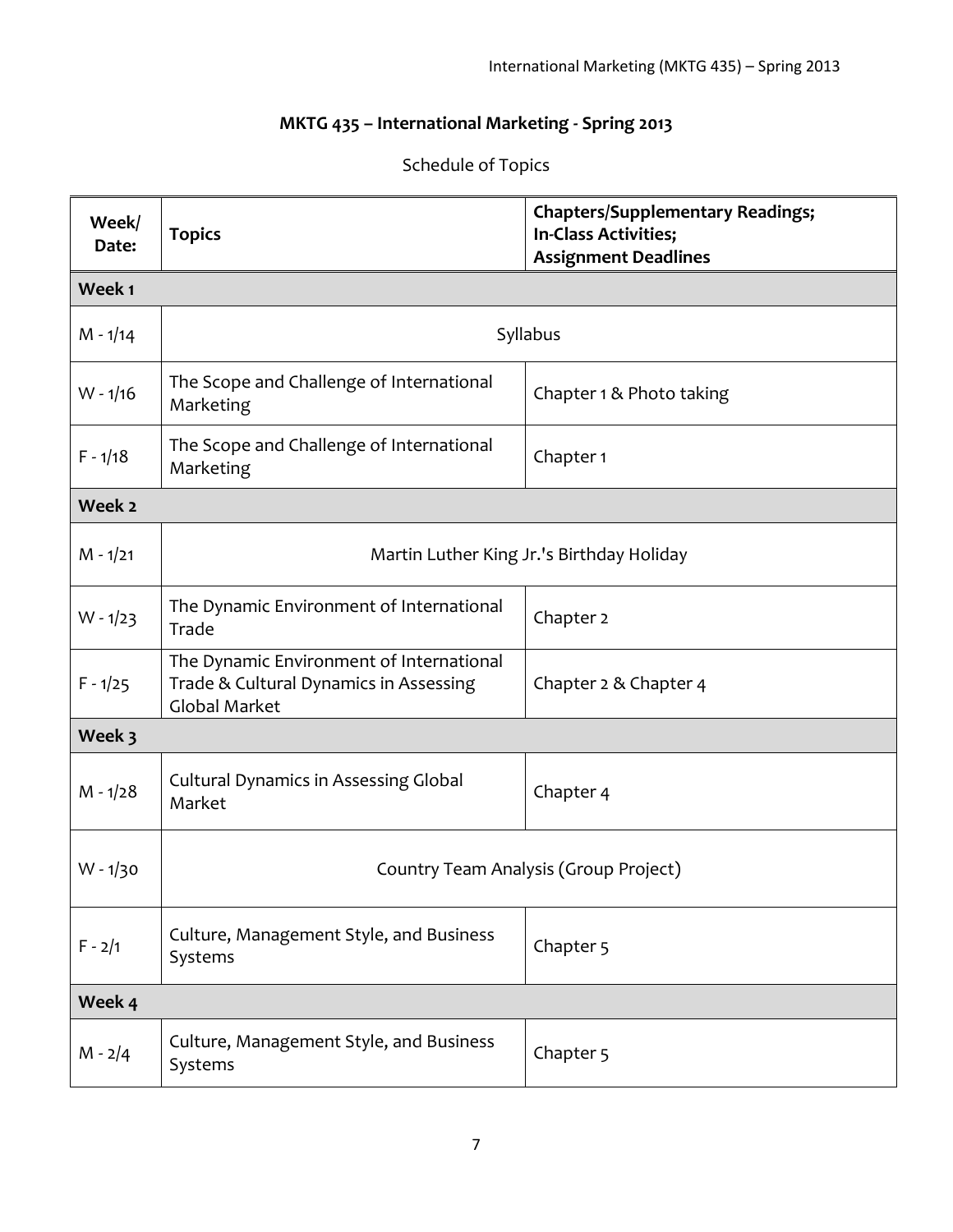## **MKTG 435 – International Marketing - Spring 2013**

| Week/<br>Date: | <b>Topics</b>                                                                                              | <b>Chapters/Supplementary Readings;</b><br>In-Class Activities;<br><b>Assignment Deadlines</b> |  |  |
|----------------|------------------------------------------------------------------------------------------------------------|------------------------------------------------------------------------------------------------|--|--|
| Week 1         |                                                                                                            |                                                                                                |  |  |
| $M - 1/14$     | Syllabus                                                                                                   |                                                                                                |  |  |
| $W - 1/16$     | The Scope and Challenge of International<br>Marketing                                                      | Chapter 1 & Photo taking                                                                       |  |  |
| $F - 1/18$     | The Scope and Challenge of International<br>Marketing                                                      | Chapter 1                                                                                      |  |  |
| Week 2         |                                                                                                            |                                                                                                |  |  |
| $M - 1/21$     | Martin Luther King Jr.'s Birthday Holiday                                                                  |                                                                                                |  |  |
| $W - 1/23$     | The Dynamic Environment of International<br>Trade                                                          | Chapter 2                                                                                      |  |  |
| $F - 1/25$     | The Dynamic Environment of International<br>Trade & Cultural Dynamics in Assessing<br><b>Global Market</b> | Chapter 2 & Chapter 4                                                                          |  |  |
| Week 3         |                                                                                                            |                                                                                                |  |  |
| $M - 1/28$     | <b>Cultural Dynamics in Assessing Global</b><br>Market                                                     | Chapter 4                                                                                      |  |  |
| $W - 1/30$     | Country Team Analysis (Group Project)                                                                      |                                                                                                |  |  |
| $F - 2/1$      | Culture, Management Style, and Business<br>Systems                                                         | Chapter 5                                                                                      |  |  |
| Week 4         |                                                                                                            |                                                                                                |  |  |
| $M - 2/4$      | Culture, Management Style, and Business<br>Systems                                                         | Chapter <sub>5</sub>                                                                           |  |  |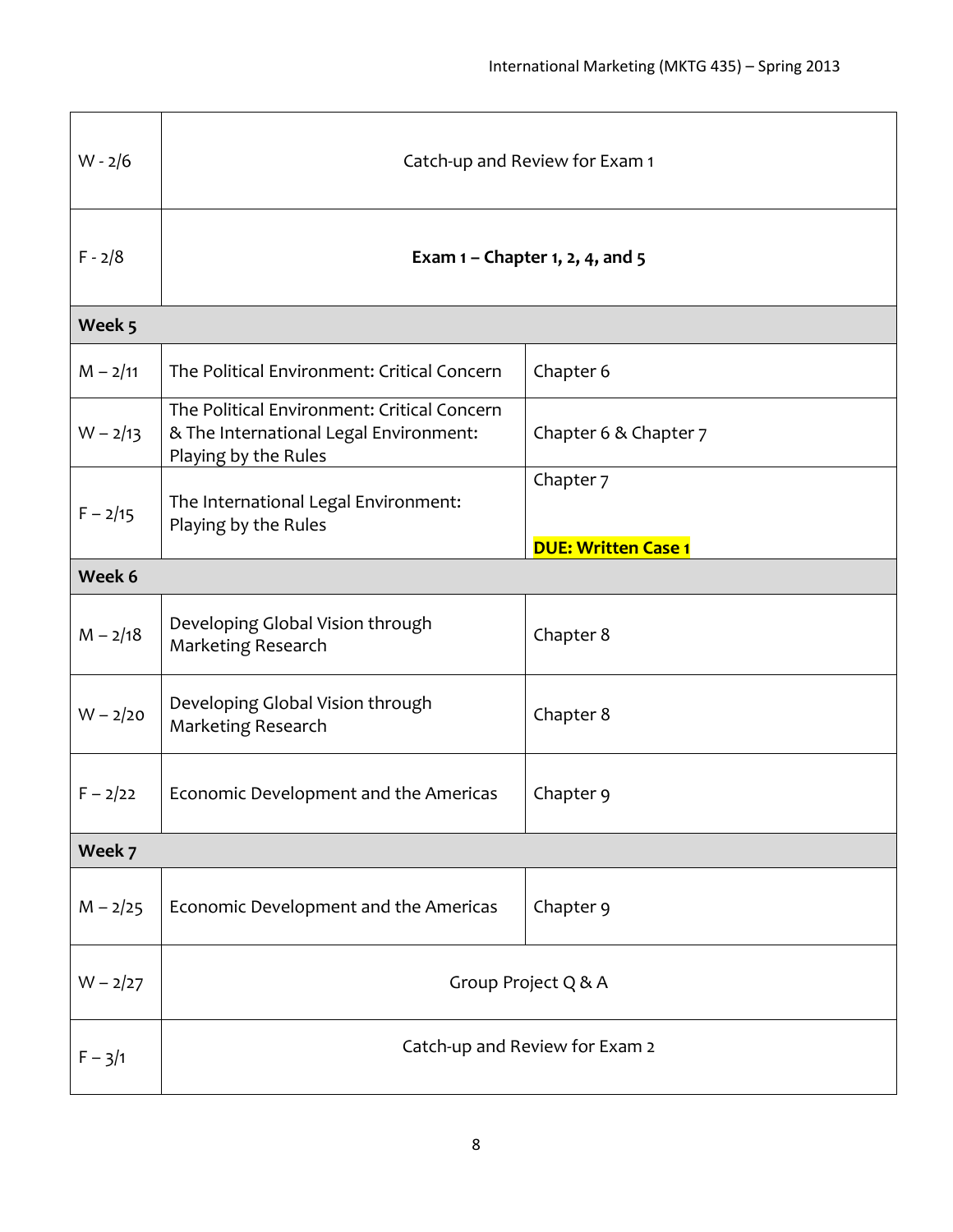| $W - 2/6$  | Catch-up and Review for Exam 1                                                                                |                                         |  |  |
|------------|---------------------------------------------------------------------------------------------------------------|-----------------------------------------|--|--|
| $F - 2/8$  | Exam $1$ – Chapter 1, 2, 4, and 5                                                                             |                                         |  |  |
| Week 5     |                                                                                                               |                                         |  |  |
| $M - 2/11$ | The Political Environment: Critical Concern                                                                   | Chapter 6                               |  |  |
| $W - 2/13$ | The Political Environment: Critical Concern<br>& The International Legal Environment:<br>Playing by the Rules | Chapter 6 & Chapter 7                   |  |  |
| $F - 2/15$ | The International Legal Environment:<br>Playing by the Rules                                                  | Chapter 7<br><b>DUE: Written Case 1</b> |  |  |
| Week 6     |                                                                                                               |                                         |  |  |
| $M - 2/18$ | Developing Global Vision through<br>Marketing Research                                                        | Chapter 8                               |  |  |
| $W - 2/20$ | Developing Global Vision through<br>Marketing Research                                                        | Chapter 8                               |  |  |
| $F - 2/22$ | Economic Development and the Americas                                                                         | Chapter 9                               |  |  |
| Week 7     |                                                                                                               |                                         |  |  |
| $M - 2/25$ | Economic Development and the Americas                                                                         | Chapter 9                               |  |  |
| $W - 2/27$ | Group Project Q & A                                                                                           |                                         |  |  |
| $F - 3/1$  | Catch-up and Review for Exam 2                                                                                |                                         |  |  |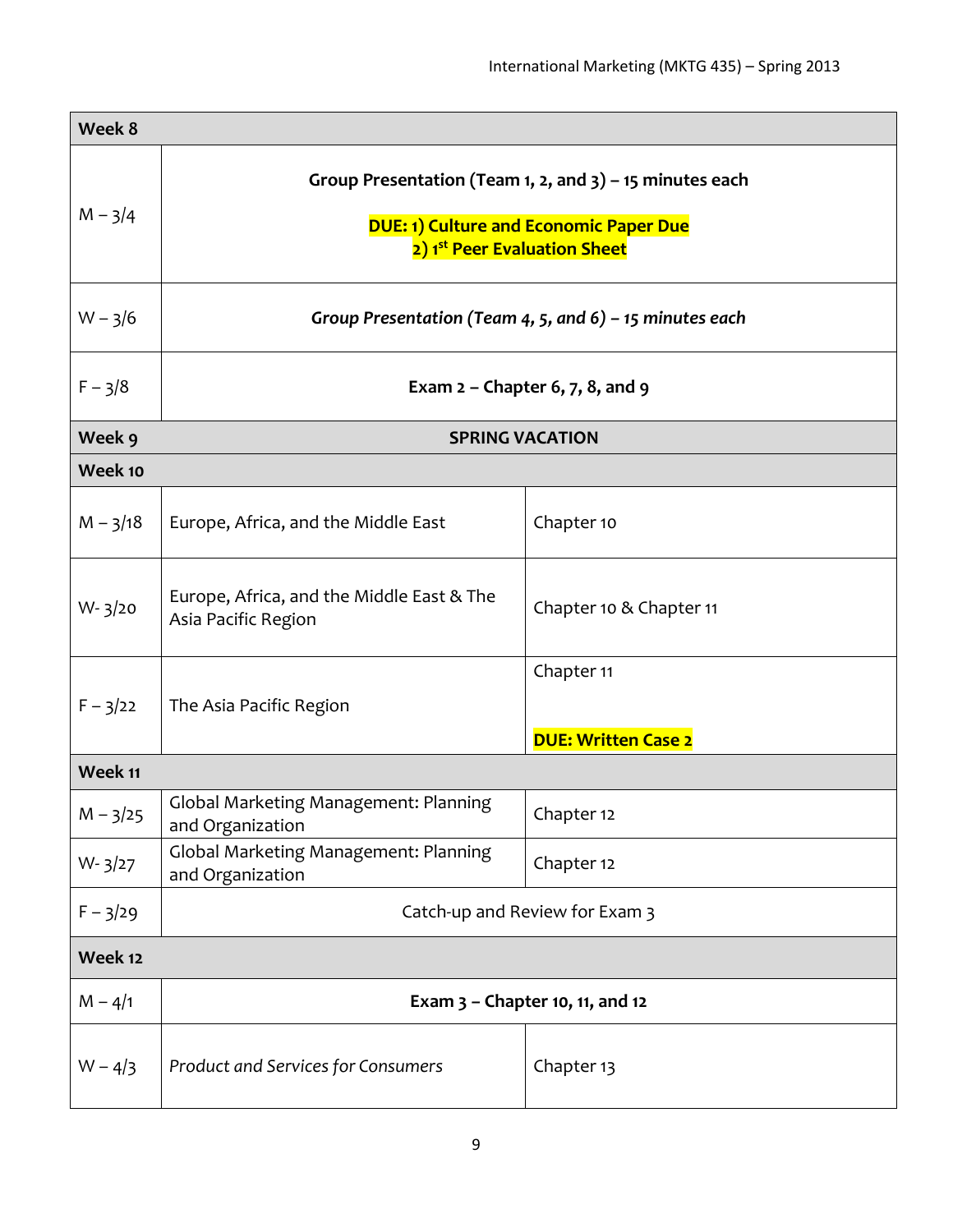| Week 8     |                                                                                                                                                         |                                          |  |  |
|------------|---------------------------------------------------------------------------------------------------------------------------------------------------------|------------------------------------------|--|--|
| $M - 3/4$  | Group Presentation (Team 1, 2, and $3$ ) – 15 minutes each<br><b>DUE: 1) Culture and Economic Paper Due</b><br>2) 1 <sup>st</sup> Peer Evaluation Sheet |                                          |  |  |
| $W - 3/6$  | Group Presentation (Team 4, 5, and 6) – 15 minutes each                                                                                                 |                                          |  |  |
| $F - 3/8$  | Exam $2$ – Chapter 6, 7, 8, and 9                                                                                                                       |                                          |  |  |
| Week 9     | <b>SPRING VACATION</b>                                                                                                                                  |                                          |  |  |
| Week 10    |                                                                                                                                                         |                                          |  |  |
| $M - 3/18$ | Europe, Africa, and the Middle East                                                                                                                     | Chapter 10                               |  |  |
| $W - 3/20$ | Europe, Africa, and the Middle East & The<br>Asia Pacific Region                                                                                        | Chapter 10 & Chapter 11                  |  |  |
| $F - 3/22$ | The Asia Pacific Region                                                                                                                                 | Chapter 11<br><b>DUE: Written Case 2</b> |  |  |
| Week 11    |                                                                                                                                                         |                                          |  |  |
| $M - 3/25$ | Global Marketing Management: Planning<br>and Organization                                                                                               | Chapter 12                               |  |  |
| $W - 3/27$ | Global Marketing Management: Planning<br>and Organization                                                                                               | Chapter 12                               |  |  |
| $F - 3/29$ | Catch-up and Review for Exam 3                                                                                                                          |                                          |  |  |
| Week 12    |                                                                                                                                                         |                                          |  |  |
| $M - 4/1$  | Exam $3$ – Chapter 10, 11, and 12                                                                                                                       |                                          |  |  |
| $W - 4/3$  | Product and Services for Consumers                                                                                                                      | Chapter 13                               |  |  |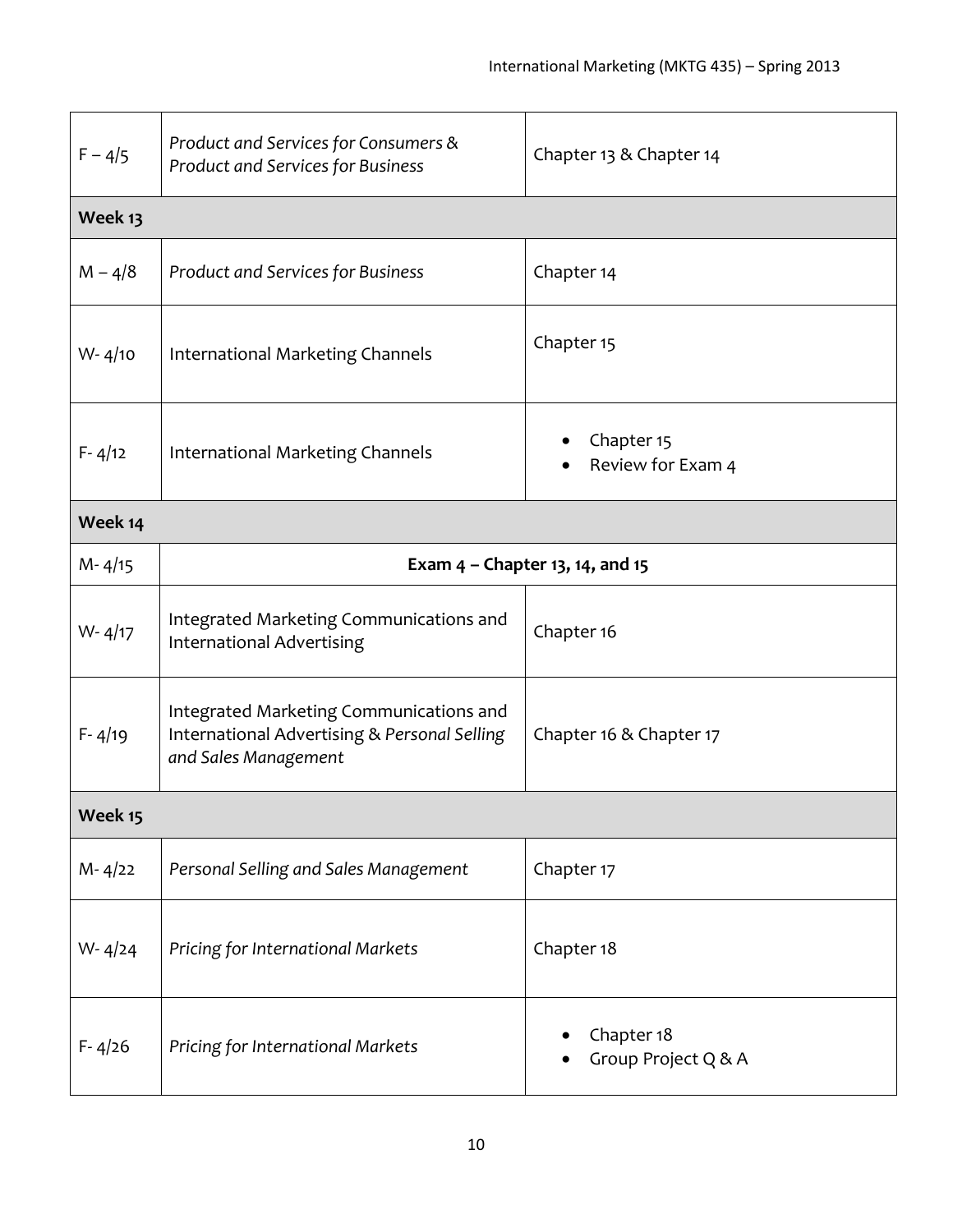| $F - 4/5$  | Product and Services for Consumers &<br>Product and Services for Business                                       | Chapter 13 & Chapter 14           |  |  |
|------------|-----------------------------------------------------------------------------------------------------------------|-----------------------------------|--|--|
| Week 13    |                                                                                                                 |                                   |  |  |
| $M - 4/8$  | <b>Product and Services for Business</b>                                                                        | Chapter 14                        |  |  |
| $W - 4/10$ | International Marketing Channels                                                                                | Chapter 15                        |  |  |
| $F - 4/12$ | International Marketing Channels                                                                                | Chapter 15<br>Review for Exam 4   |  |  |
| Week 14    |                                                                                                                 |                                   |  |  |
| $M - 4/15$ | Exam $4$ – Chapter 13, 14, and 15                                                                               |                                   |  |  |
| $W - 4/17$ | Integrated Marketing Communications and<br><b>International Advertising</b>                                     | Chapter 16                        |  |  |
| $F - 4/19$ | Integrated Marketing Communications and<br>International Advertising & Personal Selling<br>and Sales Management | Chapter 16 & Chapter 17           |  |  |
| Week 15    |                                                                                                                 |                                   |  |  |
| $M - 4/22$ | Personal Selling and Sales Management                                                                           | Chapter 17                        |  |  |
| $W - 4/24$ | Pricing for International Markets                                                                               | Chapter 18                        |  |  |
| $F - 4/26$ | Pricing for International Markets                                                                               | Chapter 18<br>Group Project Q & A |  |  |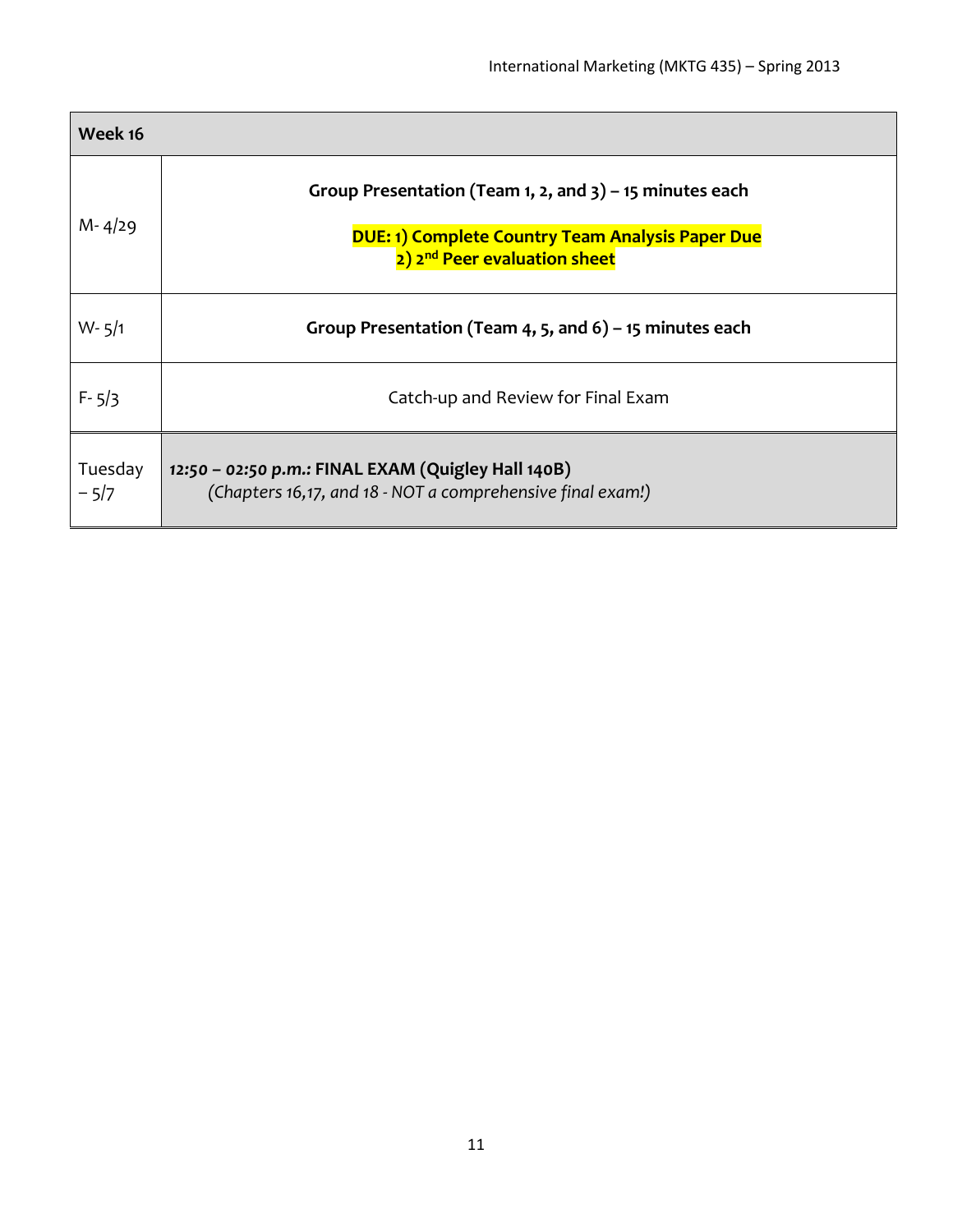| Week 16           |                                                                                                                                                                   |
|-------------------|-------------------------------------------------------------------------------------------------------------------------------------------------------------------|
| $M - 4/29$        | Group Presentation (Team 1, 2, and $3$ ) – 15 minutes each<br><b>DUE: 1) Complete Country Team Analysis Paper Due</b><br>2) 2 <sup>nd</sup> Peer evaluation sheet |
| $W - 5/1$         | Group Presentation (Team 4, 5, and 6) – 15 minutes each                                                                                                           |
| $F - 5/3$         | Catch-up and Review for Final Exam                                                                                                                                |
| Tuesday<br>$-5/7$ | 12:50 - 02:50 p.m.: FINAL EXAM (Quigley Hall 140B)<br>(Chapters 16,17, and 18 - NOT a comprehensive final exam!)                                                  |